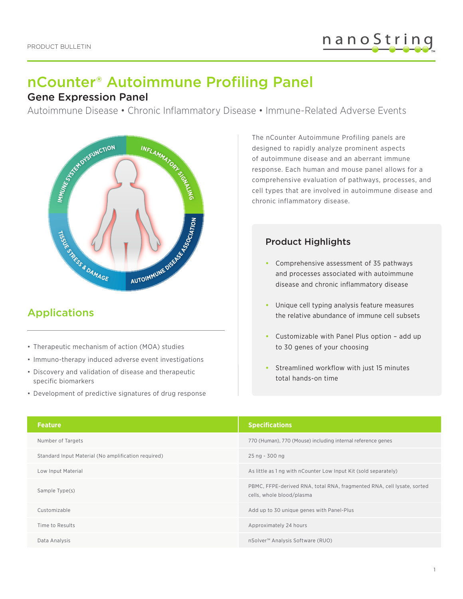# nCounter® Autoimmune Profiling Panel

#### Gene Expression Panel

Autoimmune Disease • Chronic Inflammatory Disease • Immune-Related Adverse Events



# Applications

- Therapeutic mechanism of action (MOA) studies
- Immuno-therapy induced adverse event investigations
- Discovery and validation of disease and therapeutic specific biomarkers
- Development of predictive signatures of drug response

The nCounter Autoimmune Profiling panels are designed to rapidly analyze prominent aspects of autoimmune disease and an aberrant immune response. Each human and mouse panel allows for a comprehensive evaluation of pathways, processes, and cell types that are involved in autoimmune disease and chronic inflammatory disease.

#### Product Highlights

- **•** Comprehensive assessment of 35 pathways and processes associated with autoimmune disease and chronic inflammatory disease
- **•** Unique cell typing analysis feature measures the relative abundance of immune cell subsets
- **•** Customizable with Panel Plus option add up to 30 genes of your choosing
- **•** Streamlined workflow with just 15 minutes total hands-on time

| <b>Feature</b>                                      | <b>Specifications</b>                                                                               |  |
|-----------------------------------------------------|-----------------------------------------------------------------------------------------------------|--|
| Number of Targets                                   | 770 (Human), 770 (Mouse) including internal reference genes                                         |  |
| Standard Input Material (No amplification required) | 25 ng - 300 ng                                                                                      |  |
| Low Input Material                                  | As little as 1 ng with nCounter Low Input Kit (sold separately)                                     |  |
| Sample Type(s)                                      | PBMC, FFPE-derived RNA, total RNA, fragmented RNA, cell lysate, sorted<br>cells, whole blood/plasma |  |
| Customizable                                        | Add up to 30 unique genes with Panel-Plus                                                           |  |
| Time to Results                                     | Approximately 24 hours                                                                              |  |
| Data Analysis                                       | nSolver <sup>™</sup> Analysis Software (RUO)                                                        |  |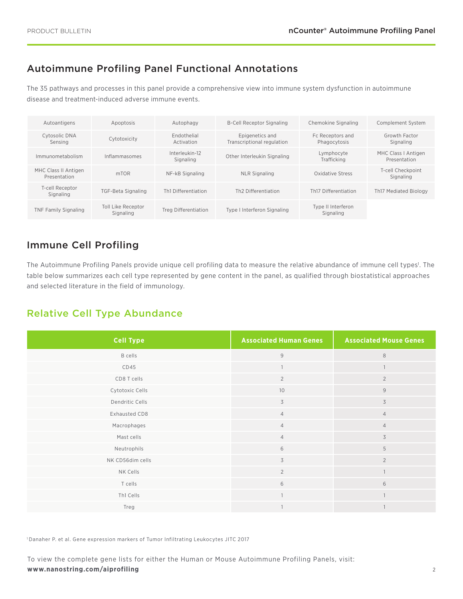### Autoimmune Profiling Panel Functional Annotations

The 35 pathways and processes in this panel provide a comprehensive view into immune system dysfunction in autoimmune disease and treatment-induced adverse immune events.

| Autoantigens                         | Apoptosis                       | Autophagy                   | <b>B-Cell Receptor Signaling</b>              | Chemokine Signaling              | Complement System                   |
|--------------------------------------|---------------------------------|-----------------------------|-----------------------------------------------|----------------------------------|-------------------------------------|
| Cytosolic DNA<br>Sensing             | Cytotoxicity                    | Endothelial<br>Activation   | Epigenetics and<br>Transcriptional regulation | Fc Receptors and<br>Phagocytosis | Growth Factor<br>Signaling          |
| Immunometabolism                     | Inflammasomes                   | Interleukin-12<br>Signaling | Other Interleukin Signaling                   | Lymphocyte<br>Trafficking        | MHC Class   Antigen<br>Presentation |
| MHC Class II Antigen<br>Presentation | mTOR                            | NF-kB Signaling             | <b>NLR Signaling</b>                          | Oxidative Stress                 | T-cell Checkpoint<br>Signaling      |
| T-cell Receptor<br>Signaling         | TGF-Beta Signaling              | Th1 Differentiation         | Th <sub>2</sub> Differentiation               | Th <sub>17</sub> Differentiation | <b>Th17 Mediated Biology</b>        |
| <b>TNF Family Signaling</b>          | Toll Like Receptor<br>Signaling | Treg Differentiation        | Type   Interferon Signaling                   | Type II Interferon<br>Signaling  |                                     |

### Immune Cell Profiling

The Autoimmune Profiling Panels provide unique cell profiling data to measure the relative abundance of immune cell types<sup>1</sup>. The table below summarizes each cell type represented by gene content in the panel, as qualified through biostatistical approaches and selected literature in the field of immunology.

#### Relative Cell Type Abundance

| <b>Cell Type</b> | <b>Associated Human Genes</b> | <b>Associated Mouse Genes</b> |
|------------------|-------------------------------|-------------------------------|
| <b>B</b> cells   | $\overline{9}$                | $\,8\,$                       |
| CD45             |                               | $\overline{1}$                |
| CD8 T cells      | $\overline{2}$                | $\overline{2}$                |
| Cytotoxic Cells  | 10                            | 9                             |
| Dendritic Cells  | 3                             | $\overline{3}$                |
| Exhausted CD8    | $\overline{4}$                | $\overline{4}$                |
| Macrophages      | $\overline{4}$                | $\overline{4}$                |
| Mast cells       | $\overline{4}$                | 3                             |
| Neutrophils      | 6                             | 5                             |
| NK CD56dim cells | 3                             | $\overline{2}$                |
| NK Cells         | $\overline{2}$                | $\overline{1}$                |
| T cells          | 6                             | 6                             |
| Th1 Cells        |                               | $\overline{1}$                |
| Treg             | $\overline{1}$                | $\overline{1}$                |

1 Danaher P. et al. Gene expression markers of Tumor Infiltrating Leukocytes JITC 2017

To view the complete gene lists for either the Human or Mouse Autoimmune Profiling Panels, visit: **www.nanostring.com/aiprofiling**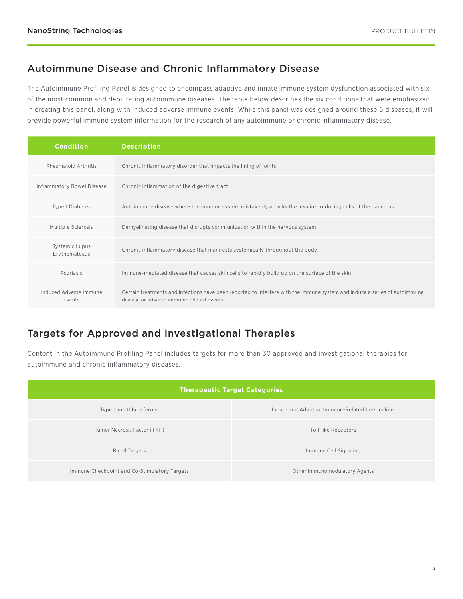#### Autoimmune Disease and Chronic Inflammatory Disease

The Autoimmune Profiling Panel is designed to encompass adaptive and innate immune system dysfunction associated with six of the most common and debilitating autoimmune diseases. The table below describes the six conditions that were emphasized in creating this panel, along with induced adverse immune events. While this panel was designed around these 6 diseases, it will provide powerful immune system information for the research of any autoimmune or chronic inflammatory disease.

| <b>Condition</b>                  | <b>Description</b>                                                                                                                                                      |
|-----------------------------------|-------------------------------------------------------------------------------------------------------------------------------------------------------------------------|
| Rheumatoid Arthritis              | Chronic inflammatory disorder that impacts the lining of joints                                                                                                         |
| <b>Inflammatory Bowel Disease</b> | Chronic inflammation of the digestive tract                                                                                                                             |
| Type 1 Diabetes                   | Autoimmune disease where the immune system mistakenly attacks the insulin-producing cells of the pancreas                                                               |
| Multiple Sclerosis                | Demyelinating disease that disrupts communication within the nervous system                                                                                             |
| Systemic Lupus<br>Erythematosus   | Chronic inflammatory disease that manifests systemically throughout the body                                                                                            |
| Psoriasis                         | Immune-mediated disease that causes skin cells to rapidly build up on the surface of the skin                                                                           |
| Induced Adverse Immune<br>Events  | Certain treatments and infections have been reported to interfere with the immune system and induce a series of autoimmune<br>disease or adverse immune-related events. |

# Targets for Approved and Investigational Therapies

Content in the Autoimmune Profiling Panel includes targets for more than 30 approved and investigational therapies for autoimmune and chronic inflammatory diseases.

| <b>Therapeutic Target Categories</b>         |                                                 |  |
|----------------------------------------------|-------------------------------------------------|--|
| Type I and II Interferons                    | Innate and Adaptive Immune-Related Interleukins |  |
| Tumor Necrosis Factor (TNF)                  | Toll-like Receptors                             |  |
| <b>B</b> cell Targets                        | Immune Cell Signaling                           |  |
| Immune Checkpoint and Co-Stimulatory Targets | Other Immunomodulatory Agents                   |  |